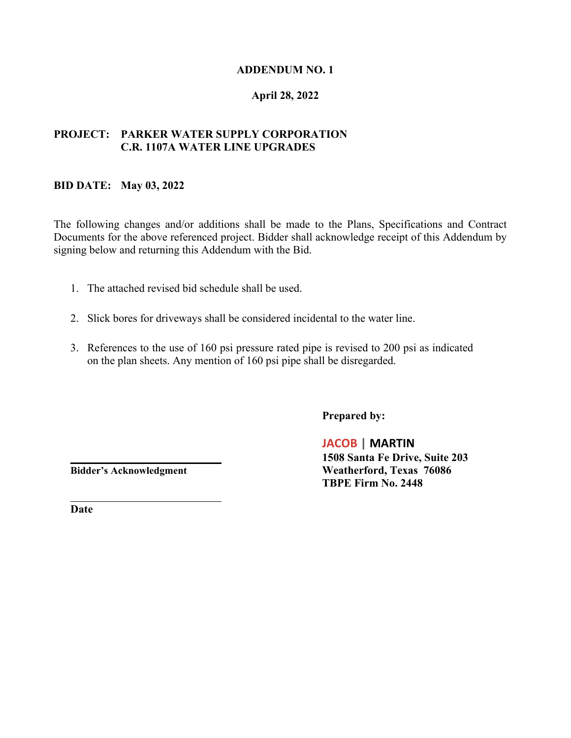## **ADDENDUM NO. 1**

## **April 28, 2022**

# **PROJECT: PARKER WATER SUPPLY CORPORATION C.R. 1107A WATER LINE UPGRADES**

#### **BID DATE: May 03, 2022**

The following changes and/or additions shall be made to the Plans, Specifications and Contract Documents for the above referenced project. Bidder shall acknowledge receipt of this Addendum by signing below and returning this Addendum with the Bid.

- 1. The attached revised bid schedule shall be used.
- 2. Slick bores for driveways shall be considered incidental to the water line.
- 3. References to the use of 160 psi pressure rated pipe is revised to 200 psi as indicated on the plan sheets. Any mention of 160 psi pipe shall be disregarded.

**Prepared by:**

**JACOB | MARTIN 1508 Santa Fe Drive, Suite 203 Bidder's Acknowledgment Weatherford, Texas 76086 TBPE Firm No. 2448**

**Date**